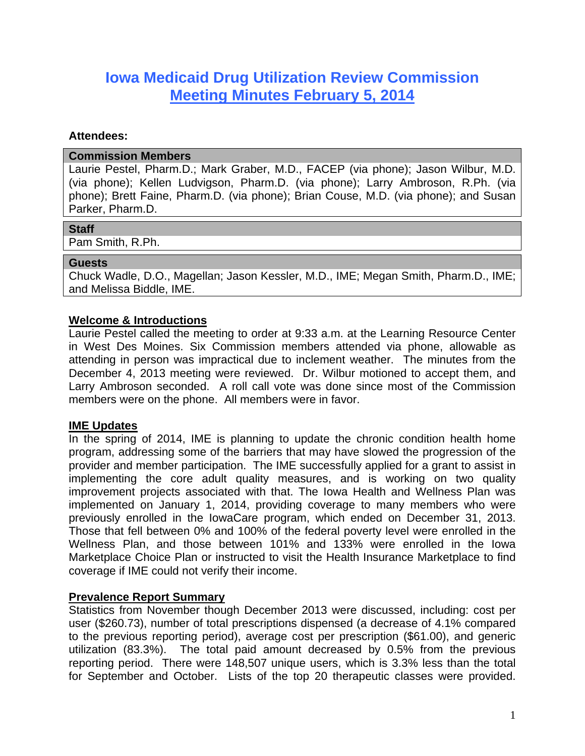# **Iowa Medicaid Drug Utilization Review Commission Meeting Minutes February 5, 2014**

#### **Attendees:**

#### **Commission Members**

Laurie Pestel, Pharm.D.; Mark Graber, M.D., FACEP (via phone); Jason Wilbur, M.D. (via phone); Kellen Ludvigson, Pharm.D. (via phone); Larry Ambroson, R.Ph. (via phone); Brett Faine, Pharm.D. (via phone); Brian Couse, M.D. (via phone); and Susan Parker, Pharm.D.

#### **Staff**

Pam Smith, R.Ph.

#### **Guests**

Chuck Wadle, D.O., Magellan; Jason Kessler, M.D., IME; Megan Smith, Pharm.D., IME; and Melissa Biddle, IME.

## **Welcome & Introductions**

Laurie Pestel called the meeting to order at 9:33 a.m. at the Learning Resource Center in West Des Moines. Six Commission members attended via phone, allowable as attending in person was impractical due to inclement weather. The minutes from the December 4, 2013 meeting were reviewed. Dr. Wilbur motioned to accept them, and Larry Ambroson seconded. A roll call vote was done since most of the Commission members were on the phone. All members were in favor.

## **IME Updates**

In the spring of 2014, IME is planning to update the chronic condition health home program, addressing some of the barriers that may have slowed the progression of the provider and member participation. The IME successfully applied for a grant to assist in implementing the core adult quality measures, and is working on two quality improvement projects associated with that. The Iowa Health and Wellness Plan was implemented on January 1, 2014, providing coverage to many members who were previously enrolled in the IowaCare program, which ended on December 31, 2013. Those that fell between 0% and 100% of the federal poverty level were enrolled in the Wellness Plan, and those between 101% and 133% were enrolled in the Iowa Marketplace Choice Plan or instructed to visit the Health Insurance Marketplace to find coverage if IME could not verify their income.

## **Prevalence Report Summary**

Statistics from November though December 2013 were discussed, including: cost per user (\$260.73), number of total prescriptions dispensed (a decrease of 4.1% compared to the previous reporting period), average cost per prescription (\$61.00), and generic utilization (83.3%). The total paid amount decreased by 0.5% from the previous reporting period. There were 148,507 unique users, which is 3.3% less than the total for September and October. Lists of the top 20 therapeutic classes were provided.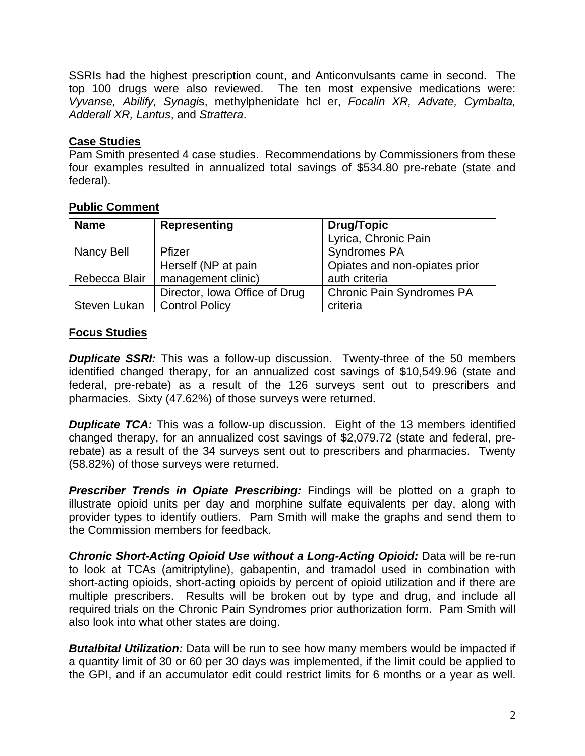SSRIs had the highest prescription count, and Anticonvulsants came in second. The top 100 drugs were also reviewed. The ten most expensive medications were: *Vyvanse, Abilify, Synagi*s, methylphenidate hcl er, *Focalin XR, Advate, Cymbalta, Adderall XR, Lantus*, and *Strattera*.

# **Case Studies**

Pam Smith presented 4 case studies. Recommendations by Commissioners from these four examples resulted in annualized total savings of \$534.80 pre-rebate (state and federal).

# **Public Comment**

| <b>Name</b>   | <b>Representing</b>           | <b>Drug/Topic</b>                |
|---------------|-------------------------------|----------------------------------|
|               |                               | Lyrica, Chronic Pain             |
| Nancy Bell    | Pfizer                        | <b>Syndromes PA</b>              |
|               | Herself (NP at pain           | Opiates and non-opiates prior    |
| Rebecca Blair | management clinic)            | auth criteria                    |
|               | Director, Iowa Office of Drug | <b>Chronic Pain Syndromes PA</b> |
| Steven Lukan  | <b>Control Policy</b>         | criteria                         |

# **Focus Studies**

**Duplicate SSRI:** This was a follow-up discussion. Twenty-three of the 50 members identified changed therapy, for an annualized cost savings of \$10,549.96 (state and federal, pre-rebate) as a result of the 126 surveys sent out to prescribers and pharmacies. Sixty (47.62%) of those surveys were returned.

**Duplicate TCA:** This was a follow-up discussion. Eight of the 13 members identified changed therapy, for an annualized cost savings of \$2,079.72 (state and federal, prerebate) as a result of the 34 surveys sent out to prescribers and pharmacies. Twenty (58.82%) of those surveys were returned.

**Prescriber Trends in Opiate Prescribing:** Findings will be plotted on a graph to illustrate opioid units per day and morphine sulfate equivalents per day, along with provider types to identify outliers. Pam Smith will make the graphs and send them to the Commission members for feedback.

**Chronic Short-Acting Opioid Use without a Long-Acting Opioid:** Data will be re-run to look at TCAs (amitriptyline), gabapentin, and tramadol used in combination with short-acting opioids, short-acting opioids by percent of opioid utilization and if there are multiple prescribers. Results will be broken out by type and drug, and include all required trials on the Chronic Pain Syndromes prior authorization form. Pam Smith will also look into what other states are doing.

**Butalbital Utilization:** Data will be run to see how many members would be impacted if a quantity limit of 30 or 60 per 30 days was implemented, if the limit could be applied to the GPI, and if an accumulator edit could restrict limits for 6 months or a year as well.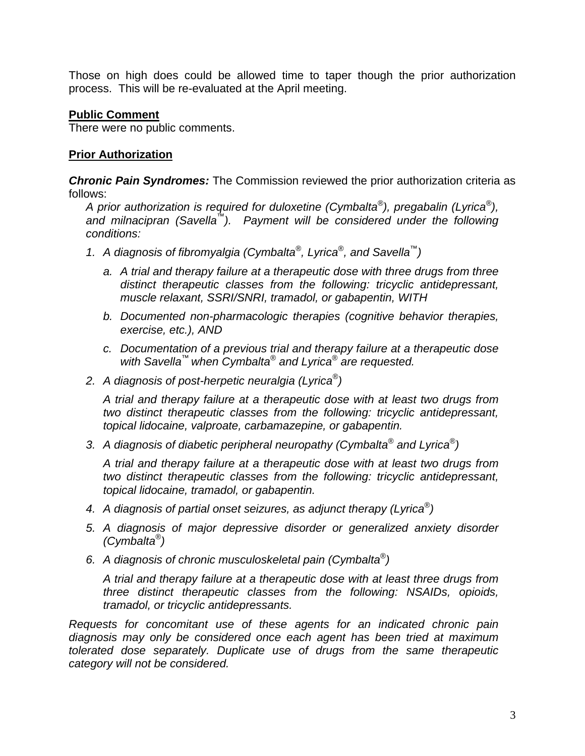Those on high does could be allowed time to taper though the prior authorization process. This will be re-evaluated at the April meeting.

## **Public Comment**

There were no public comments.

## **Prior Authorization**

*Chronic Pain Syndromes:* The Commission reviewed the prior authorization criteria as follows:

*A prior authorization is required for duloxetine (Cymbalta®), pregabalin (Lyrica®), and milnacipran (Savella™). Payment will be considered under the following conditions:* 

- *1. A diagnosis of fibromyalgia (Cymbalta®, Lyrica®, and Savella™)* 
	- *a. A trial and therapy failure at a therapeutic dose with three drugs from three distinct therapeutic classes from the following: tricyclic antidepressant, muscle relaxant, SSRI/SNRI, tramadol, or gabapentin, WITH*
	- *b. Documented non-pharmacologic therapies (cognitive behavior therapies, exercise, etc.), AND*
	- *c. Documentation of a previous trial and therapy failure at a therapeutic dose with Savella™ when Cymbalta® and Lyrica® are requested.*
- *2. A diagnosis of post-herpetic neuralgia (Lyrica®)*

*A trial and therapy failure at a therapeutic dose with at least two drugs from two distinct therapeutic classes from the following: tricyclic antidepressant, topical lidocaine, valproate, carbamazepine, or gabapentin.* 

*3. A diagnosis of diabetic peripheral neuropathy (Cymbalta® and Lyrica®)* 

*A trial and therapy failure at a therapeutic dose with at least two drugs from two distinct therapeutic classes from the following: tricyclic antidepressant, topical lidocaine, tramadol, or gabapentin.* 

- *4. A diagnosis of partial onset seizures, as adjunct therapy (Lyrica®)*
- *5. A diagnosis of major depressive disorder or generalized anxiety disorder (Cymbalta®)*
- *6. A diagnosis of chronic musculoskeletal pain (Cymbalta®)*

*A trial and therapy failure at a therapeutic dose with at least three drugs from three distinct therapeutic classes from the following: NSAIDs, opioids, tramadol, or tricyclic antidepressants.* 

*Requests for concomitant use of these agents for an indicated chronic pain diagnosis may only be considered once each agent has been tried at maximum tolerated dose separately. Duplicate use of drugs from the same therapeutic category will not be considered.*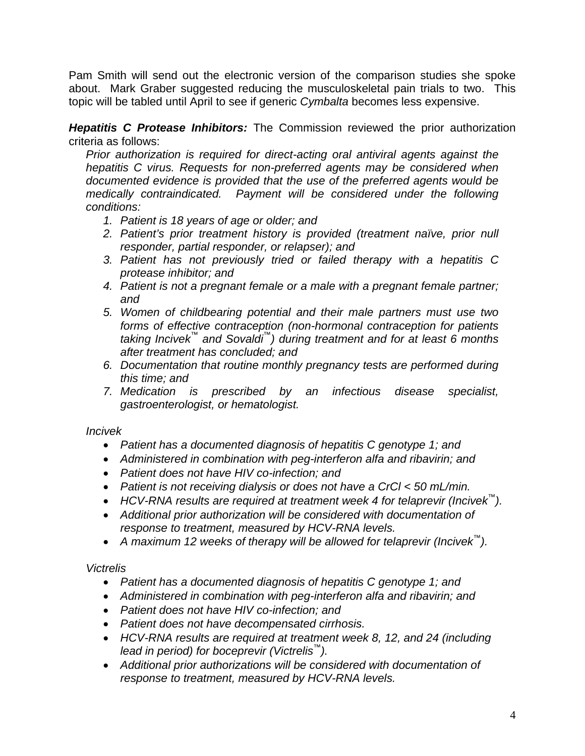Pam Smith will send out the electronic version of the comparison studies she spoke about. Mark Graber suggested reducing the musculoskeletal pain trials to two. This topic will be tabled until April to see if generic *Cymbalta* becomes less expensive.

*Hepatitis C Protease Inhibitors:* The Commission reviewed the prior authorization criteria as follows:

*Prior authorization is required for direct-acting oral antiviral agents against the hepatitis C virus. Requests for non-preferred agents may be considered when documented evidence is provided that the use of the preferred agents would be medically contraindicated. Payment will be considered under the following conditions:* 

- *1. Patient is 18 years of age or older; and*
- 2. Patient's prior treatment history is provided (treatment naïve, prior null *responder, partial responder, or relapser); and*
- *3. Patient has not previously tried or failed therapy with a hepatitis C protease inhibitor; and*
- *4. Patient is not a pregnant female or a male with a pregnant female partner; and*
- *5. Women of childbearing potential and their male partners must use two forms of effective contraception (non-hormonal contraception for patients taking Incivek™ and Sovaldi™) during treatment and for at least 6 months after treatment has concluded; and*
- *6. Documentation that routine monthly pregnancy tests are performed during this time; and*
- *7. Medication is prescribed by an infectious disease specialist, gastroenterologist, or hematologist.*

*Incivek* 

- *Patient has a documented diagnosis of hepatitis C genotype 1; and*
- *Administered in combination with peg-interferon alfa and ribavirin; and*
- *Patient does not have HIV co-infection; and*
- *Patient is not receiving dialysis or does not have a CrCl < 50 mL/min.*
- *HCV-RNA results are required at treatment week 4 for telaprevir (Incivek™).*
- *Additional prior authorization will be considered with documentation of response to treatment, measured by HCV-RNA levels.*
- *A maximum 12 weeks of therapy will be allowed for telaprevir (Incivek™).*

*Victrelis* 

- *Patient has a documented diagnosis of hepatitis C genotype 1; and*
- *Administered in combination with peg-interferon alfa and ribavirin; and*
- *Patient does not have HIV co-infection; and*
- *Patient does not have decompensated cirrhosis.*
- *HCV-RNA results are required at treatment week 8, 12, and 24 (including lead in period) for boceprevir (Victrelis™).*
- *Additional prior authorizations will be considered with documentation of response to treatment, measured by HCV-RNA levels.*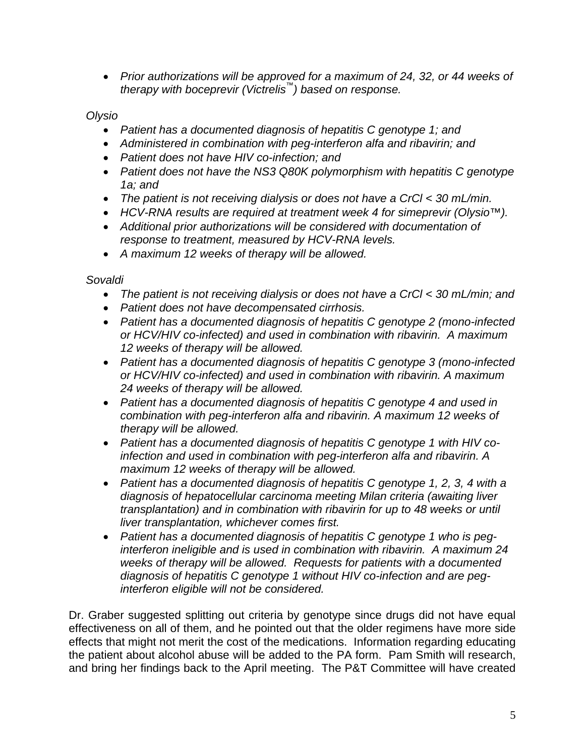*Prior authorizations will be approved for a maximum of 24, 32, or 44 weeks of therapy with boceprevir (Victrelis™) based on response.* 

*Olysio* 

- *Patient has a documented diagnosis of hepatitis C genotype 1; and*
- *Administered in combination with peg-interferon alfa and ribavirin; and*
- *Patient does not have HIV co-infection; and*
- *Patient does not have the NS3 Q80K polymorphism with hepatitis C genotype 1a; and*
- *The patient is not receiving dialysis or does not have a CrCl < 30 mL/min.*
- *HCV-RNA results are required at treatment week 4 for simeprevir (Olysio™).*
- *Additional prior authorizations will be considered with documentation of response to treatment, measured by HCV-RNA levels.*
- *A maximum 12 weeks of therapy will be allowed.*

*Sovaldi* 

- *The patient is not receiving dialysis or does not have a CrCl < 30 mL/min; and*
- *Patient does not have decompensated cirrhosis.*
- *Patient has a documented diagnosis of hepatitis C genotype 2 (mono-infected or HCV/HIV co-infected) and used in combination with ribavirin. A maximum 12 weeks of therapy will be allowed.*
- *Patient has a documented diagnosis of hepatitis C genotype 3 (mono-infected or HCV/HIV co-infected) and used in combination with ribavirin. A maximum 24 weeks of therapy will be allowed.*
- *Patient has a documented diagnosis of hepatitis C genotype 4 and used in combination with peg-interferon alfa and ribavirin. A maximum 12 weeks of therapy will be allowed.*
- *Patient has a documented diagnosis of hepatitis C genotype 1 with HIV coinfection and used in combination with peg-interferon alfa and ribavirin. A maximum 12 weeks of therapy will be allowed.*
- *Patient has a documented diagnosis of hepatitis C genotype 1, 2, 3, 4 with a diagnosis of hepatocellular carcinoma meeting Milan criteria (awaiting liver transplantation) and in combination with ribavirin for up to 48 weeks or until liver transplantation, whichever comes first.*
- *Patient has a documented diagnosis of hepatitis C genotype 1 who is peginterferon ineligible and is used in combination with ribavirin. A maximum 24 weeks of therapy will be allowed. Requests for patients with a documented diagnosis of hepatitis C genotype 1 without HIV co-infection and are peginterferon eligible will not be considered.*

Dr. Graber suggested splitting out criteria by genotype since drugs did not have equal effectiveness on all of them, and he pointed out that the older regimens have more side effects that might not merit the cost of the medications. Information regarding educating the patient about alcohol abuse will be added to the PA form. Pam Smith will research, and bring her findings back to the April meeting. The P&T Committee will have created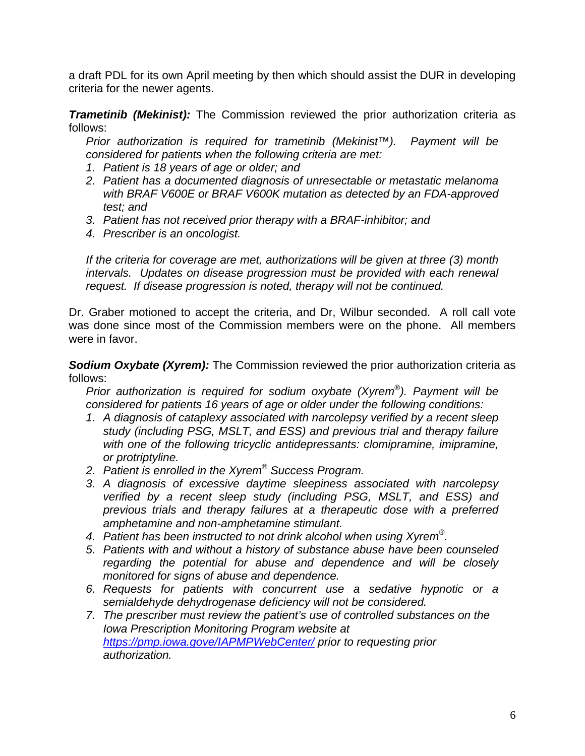a draft PDL for its own April meeting by then which should assist the DUR in developing criteria for the newer agents.

*Trametinib (Mekinist):* The Commission reviewed the prior authorization criteria as follows:

*Prior authorization is required for trametinib (Mekinist™). Payment will be considered for patients when the following criteria are met:* 

- *1. Patient is 18 years of age or older; and*
- *2. Patient has a documented diagnosis of unresectable or metastatic melanoma with BRAF V600E or BRAF V600K mutation as detected by an FDA-approved test; and*
- *3. Patient has not received prior therapy with a BRAF-inhibitor; and*
- *4. Prescriber is an oncologist.*

*If the criteria for coverage are met, authorizations will be given at three (3) month intervals. Updates on disease progression must be provided with each renewal request. If disease progression is noted, therapy will not be continued.* 

Dr. Graber motioned to accept the criteria, and Dr, Wilbur seconded. A roll call vote was done since most of the Commission members were on the phone. All members were in favor.

**Sodium Oxybate (Xyrem):** The Commission reviewed the prior authorization criteria as follows:

*Prior authorization is required for sodium oxybate (Xyrem®). Payment will be considered for patients 16 years of age or older under the following conditions:* 

- *1. A diagnosis of cataplexy associated with narcolepsy verified by a recent sleep study (including PSG, MSLT, and ESS) and previous trial and therapy failure*  with one of the following tricyclic antidepressants: clomipramine, imipramine, *or protriptyline.*
- *2. Patient is enrolled in the Xyrem® Success Program.*
- *3. A diagnosis of excessive daytime sleepiness associated with narcolepsy verified by a recent sleep study (including PSG, MSLT, and ESS) and previous trials and therapy failures at a therapeutic dose with a preferred amphetamine and non-amphetamine stimulant.*
- *4. Patient has been instructed to not drink alcohol when using Xyrem®.*
- *5. Patients with and without a history of substance abuse have been counseled regarding the potential for abuse and dependence and will be closely monitored for signs of abuse and dependence.*
- *6. Requests for patients with concurrent use a sedative hypnotic or a semialdehyde dehydrogenase deficiency will not be considered.*
- *7. The prescriber must review the patient's use of controlled substances on the Iowa Prescription Monitoring Program website at https://pmp.iowa.gove/IAPMPWebCenter/ prior to requesting prior authorization.*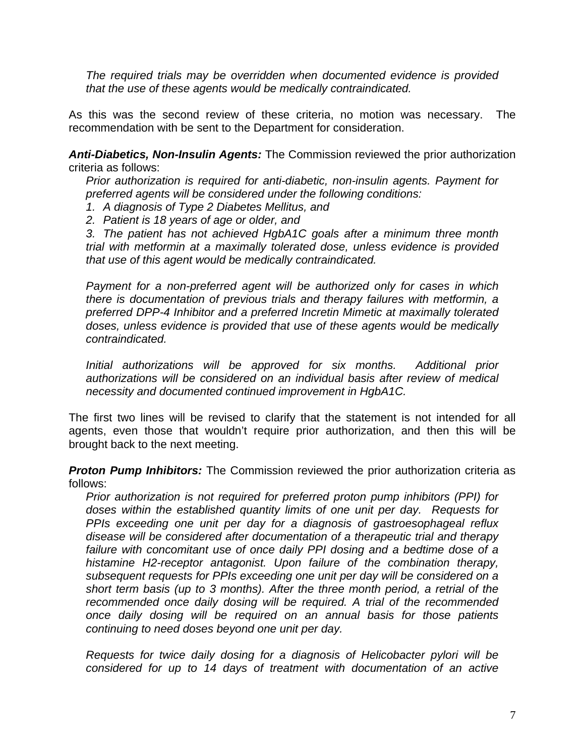*The required trials may be overridden when documented evidence is provided that the use of these agents would be medically contraindicated.* 

As this was the second review of these criteria, no motion was necessary. The recommendation with be sent to the Department for consideration.

*Anti-Diabetics, Non-Insulin Agents:* The Commission reviewed the prior authorization criteria as follows:

*Prior authorization is required for anti-diabetic, non-insulin agents. Payment for preferred agents will be considered under the following conditions:* 

*1. A diagnosis of Type 2 Diabetes Mellitus, and* 

*2. Patient is 18 years of age or older, and* 

*3. The patient has not achieved HgbA1C goals after a minimum three month trial with metformin at a maximally tolerated dose, unless evidence is provided that use of this agent would be medically contraindicated.* 

*Payment for a non-preferred agent will be authorized only for cases in which there is documentation of previous trials and therapy failures with metformin, a preferred DPP-4 Inhibitor and a preferred Incretin Mimetic at maximally tolerated doses, unless evidence is provided that use of these agents would be medically contraindicated.* 

*Initial authorizations will be approved for six months. Additional prior authorizations will be considered on an individual basis after review of medical necessity and documented continued improvement in HgbA1C.*

The first two lines will be revised to clarify that the statement is not intended for all agents, even those that wouldn't require prior authorization, and then this will be brought back to the next meeting.

*Proton Pump Inhibitors:* The Commission reviewed the prior authorization criteria as follows:

*Prior authorization is not required for preferred proton pump inhibitors (PPI) for doses within the established quantity limits of one unit per day. Requests for PPIs exceeding one unit per day for a diagnosis of gastroesophageal reflux disease will be considered after documentation of a therapeutic trial and therapy failure with concomitant use of once daily PPI dosing and a bedtime dose of a histamine H2-receptor antagonist. Upon failure of the combination therapy, subsequent requests for PPIs exceeding one unit per day will be considered on a short term basis (up to 3 months). After the three month period, a retrial of the recommended once daily dosing will be required. A trial of the recommended once daily dosing will be required on an annual basis for those patients continuing to need doses beyond one unit per day.* 

*Requests for twice daily dosing for a diagnosis of Helicobacter pylori will be considered for up to 14 days of treatment with documentation of an active*